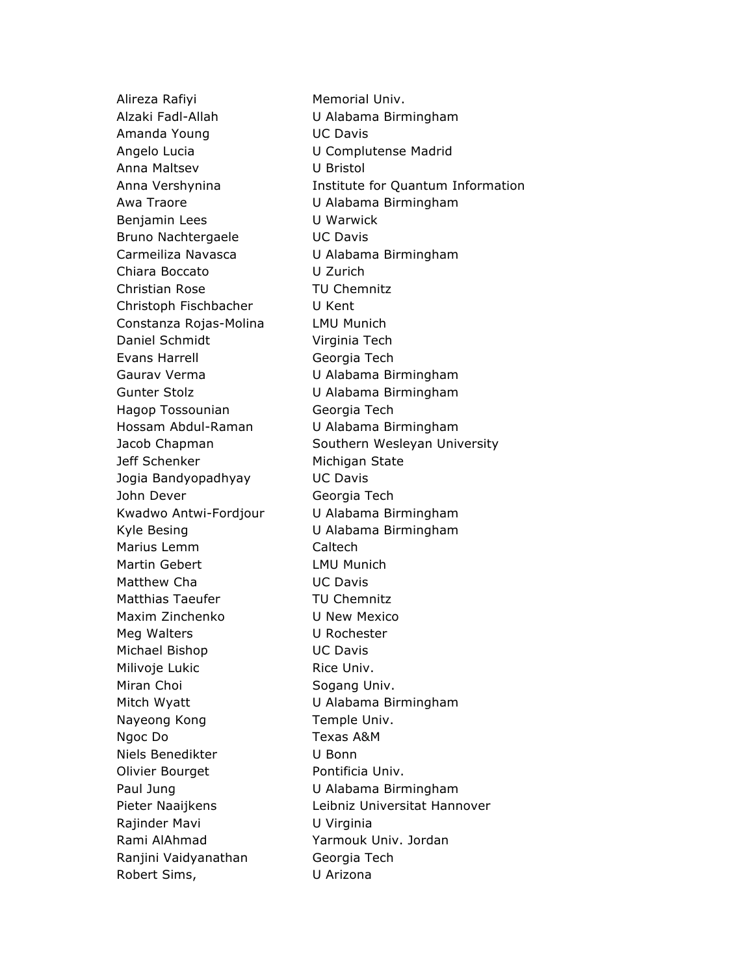Alireza Rafiyi **Memorial Univ.** Memorial Univ. Alzaki Fadl-Allah U Alabama Birmingham Amanda Young UC Davis Angelo Lucia U Complutense Madrid Anna Maltsev U Bristol Awa Traore U Alabama Birmingham Benjamin Lees U Warwick Bruno Nachtergaele **UC Davis** Carmeiliza Navasca U Alabama Birmingham Chiara Boccato U Zurich Christian Rose TU Chemnitz Christoph Fischbacher U Kent Constanza Rojas-Molina LMU Munich Daniel Schmidt Virginia Tech Evans Harrell Georgia Tech Gaurav Verma U Alabama Birmingham Gunter Stolz U Alabama Birmingham Hagop Tossounian Georgia Tech Hossam Abdul-Raman U Alabama Birmingham Jeff Schenker Michigan State Jogia Bandyopadhyay UC Davis John Dever Georgia Tech Kwadwo Antwi-Fordjour U Alabama Birmingham Kyle Besing U Alabama Birmingham Marius Lemm Caltech Martin Gebert LMU Munich Matthew Cha **Natthew Chara** UC Davis Matthias Taeufer TU Chemnitz Maxim Zinchenko U New Mexico Meg Walters **U Rochester** Michael Bishop UC Davis Milivoje Lukic **Rice Univ.** Rice Univ. Miran Choi **Sogang Univ.** Mitch Wyatt U Alabama Birmingham Nayeong Kong Temple Univ. Ngoc Do Texas A&M Niels Benedikter U Bonn Olivier Bourget Pontificia Univ. Paul Jung **U Alabama Birmingham** Rajinder Mavi **U Virginia** Rami AlAhmad Yarmouk Univ. Jordan Ranjini Vaidyanathan Georgia Tech Robert Sims, U Arizona

Anna Vershynina **Institute for Quantum Information** Jacob Chapman Southern Wesleyan University Pieter Naaijkens Leibniz Universitat Hannover